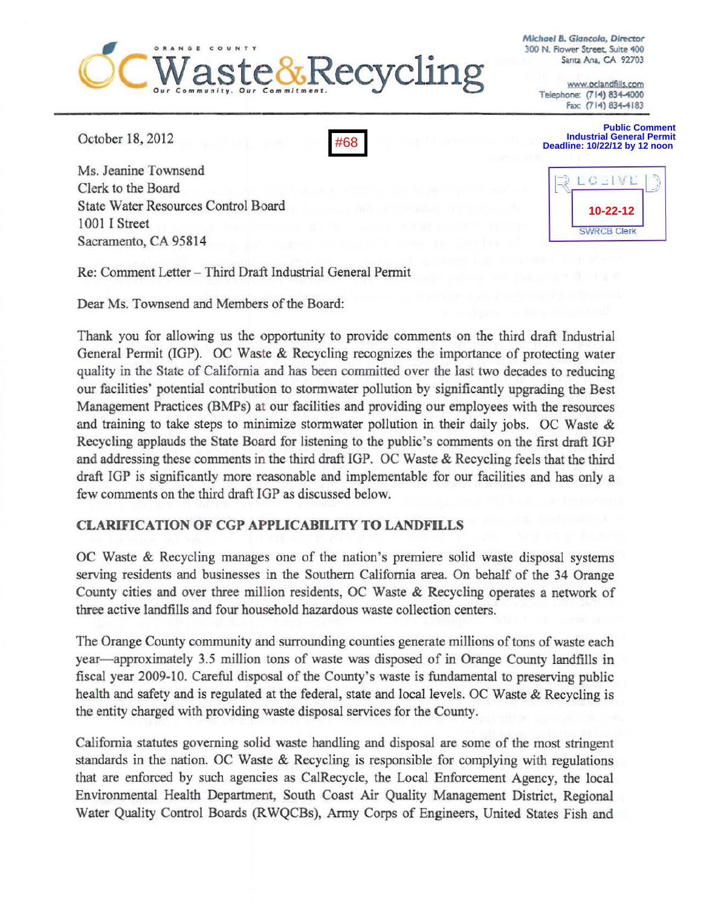# te&Recycling

**Michael B. Giancola, Director** 300 N. Flower Street. Suite 400 Santi Ana. CA *92703* 

> www.oclandfills.com Telephone: (714) 834-4000 Fax: (714) 834-4183

October 18, *2012* 

Ms. Jeanine Townsend Clerk to the Board State Water Resources Control Board 1001 I Street Sacramento, CA 95814



**Public Comment Industrial General Permit Deadline: 10/22/12 by 12 noon** 



Re: Comment Letter - Third Draft Industrial General Permit

Dear Ms. Townsend and Members of the Board:

Thank you for allowing us the opportunity to provide comments on the third draft Industrial General Permit (IGP). OC Waste & Recycling recognizes the importance of protecting water quality in the State of California and has been committed over the last two decades to reducing our facilities' potential contribution to stonnwater pollution by significantly upgrading the Best Management Practices (BMPs) at our facilities and providing our employees with the resources and training to take steps to minimize stormwater pollution in their daily jobs. OC Waste  $\&$ Recycling applauds the State Board for listening to the public's comments on the first draft IGP and addressing these comments in the third draft lGP. OC Waste & Recycling feels that the third draft IGP is significantly more reasonable and implementable for our facilities and has only a few comments on the third draft lOP as discussed below.

## CLARIFICATION OF CGP APPLICABILITY TO LANDFILLS

OC Waste & Recycling manages one of the nation's premiere solid waste disposal systems serving residents and businesses in the Southern California area. On behalf of the 34 Orange County cities and over three million residents, OC Waste & Recycling operates a network of three active landfills and four household hazardous waste collection centers.

The Orange County community and surrounding counties generate millions of tons of waste each year- approximately 3.5 million tons of waste was disposed of in Orange County landfills in fiscal year 2009-10. Careful disposal of the County's waste is fundamental to preserving public health and safety and is regulated at the federal, state and local levels. OC Waste & Recycling is the entity charged with providing waste disposal services for the County.

California statutes governing solid waste handling and disposal are some of the most stringent standards in the nation. OC Waste & Recycling is responsible for complying with regulations that are enforced by such agencies as CalRecycle, the Local Enforcement Agency, the local Environmental Health Department, South Coast Air Quality Management District, Regional Water Quality Control Boards (RWQCBs), Anny Corps of Engineers, United States Fish and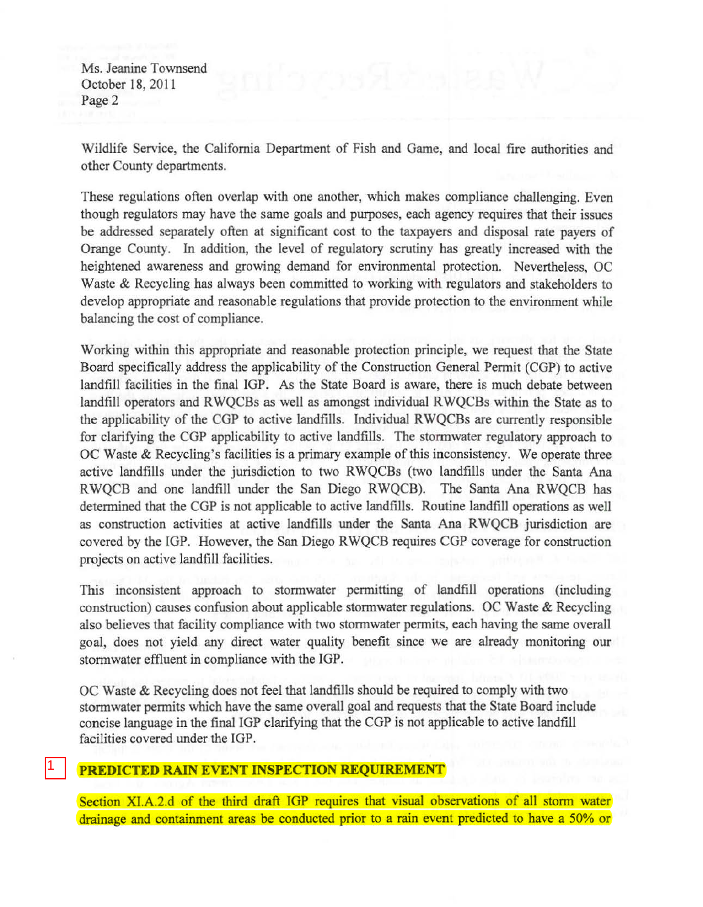Ms. Jeanine Townsend October 18.2011 Page 2

Wildlife Service, the California Department of Fish and Game, and local fire authorities and other County departments.

These regulations often overlap with one another, which makes compliance challenging. Even though regulators may have the same goals and purposes, each agency requires that their issues be addressed separately often at significant cost to the taxpayers and disposal rate payers of Orange County. In addition, the level of regulatory scrutiny has greatly increased with the heightened awareness and growing demand for environmental protection. Nevertheless, OC Waste & Recycling has always been committed to working with regulators and stakeholders to develop appropriate and reasonable regulations that provide protection to the environment while balancing the cost of compliance.

Working within this appropriate and reasonable protection principle, we request that the State Board specifically address the applicability of the Construction General Pennit (COP) to active landfill facilities in the final IGP. As the State Board is aware, there is much debate between landfill operators and RWQCBs as well as amongst individual RWQCBs within the State as to the applicability of the CGP to active landfills. Individual RWQCBs are currently responsible for clarifying the COP applicability to active landfills. The storrnwater regulatory approach to OC Waste & Recycling's facilities is a primary example of this inconsistency. We operate three active landfills under the jurisdiction to two RWQCBs (two landfills under the Santa Ana RWQCB and one landfill under the San Diego RWQCB). The Santa Ana RWQCB has determined that the COP is not applicable to active landfills. Routine landfill operations as well as construction activities at active landfills under the Santa Ana RWQCB jurisdiction are covered by the lOP. However, the San Diego RWQCB requires COP coverage for construction projects on active landfill facilities.

This inconsistent approach to stonnwater permitting of landfill operations (including construction) causes confusion about applicable stormwater regulations. OC Waste & Recycling also believes that facility compliance with two stormwater permits, each having the same overall goal, does not yield any direct water quality benefit since we are already monitoring our stormwater effluent in compliance with the IGP.

OC Waste & Recycling does not feel that landfllls should be required to comply with two stormwater permits which have the same overall goal and requests that the State Board include concise language in the final lOP clarifying that the COP is not applicable to active landfill facilities covered under the IGP.

## PREDICTED RAIN EVENT INSPECTION REQUIREMENT

1

Section XI.A.2.d of the third draft IGP requires that visual observations of all storm water drainage and containment areas be conducted prior to a rain event predicted to have a 50% or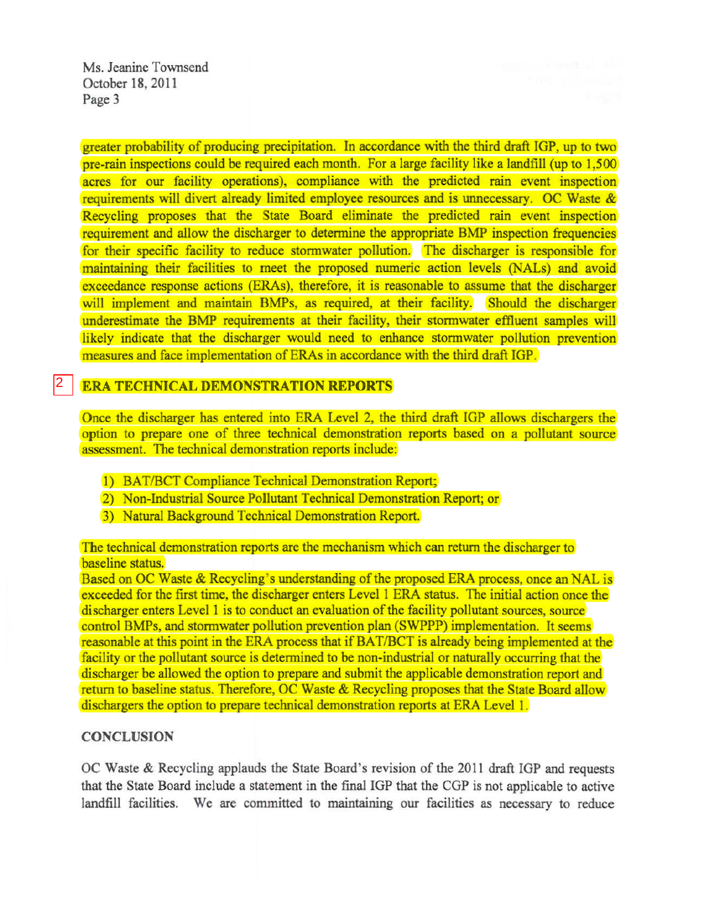Ms. Jeanine Townsend October 18, 2011 Page 3

greater probability of producing precipitation. In accordance with the third draft IGP, up to two pre-rain inspections could be required each month. For a large facility like a landfill (up to 1,500 acres for our facility operations), compliance with the predicted rain event inspection requirements will divert already limited employee resources and is unnecessary. OC Waste & Recycling proposes that the State Board eliminate the predicted rain event inspection requirement and allow the discharger to detennine the appropriate BMP inspection frequencies for their specific facility to reduce stormwater pollution. The discharger is responsible for maintaining their facilities to meet the proposed numeric action levels (NALs) and avoid exceedance response actions (ERAs), therefore, it is reasonable to assume that the discharger will implement and maintain BMPs, as required, at their facility. Should the discharger underestimate the BMP requirements at their facility, their stormwater effluent samples will likely indicate that the discharger would need to enhance stormwater pollution prevention measures and face implementation of ERAs in accordance with the third draft IGP.

#### ERA TECHNICAL DEMONSTRATION REPORTS 2

Once the discharger has entered into ERA Level 2, the third draft IGP allows dischargers the option to prepare one of three technical demonstration reports based on a pollutant source assessment. The technical demonstration reports include:

- 1) BAT/BCT Compliance Technical Demonstration Report;
- 2) Non-Industrial Source Pollutant Technical Demonstration Report; or
- 3) Natural Background Technical Demonstration Report.

The technical demonstration reports are the mechanism which can return the discharger to baseline status.

Based on OC Waste & Recycling's understanding of the proposed ERA process, once an NAL is exceeded for the first time, the discharger enters Level 1 ERA status. The initial action once the discharger enters Level 1 is to conduct an evaluation of the facility pollutant sources, source control BMPs, and stormwater pollution prevention plan (SWPPP) implementation. It seems reasonable at this point in the ERA process that if BAT/BCT is already being implemented at the facility or the pollutant source is determined to be non-industrial or naturally occurring that the discharger be allowed the option to prepare and submit the applicable demonstration report and return to baseline status. Therefore, OC Waste & Recycling proposes that the State Board allow dischargers the option to prepare technical demonstration reports at ERA Level 1.

#### **CONCLUSION**

OC Waste & Recycling applauds the State Board's revision of the 2011 draft IGP and requests that the State Board include a statement in the final IGP that the CGP is not applicable to active landfill facilities. We are committed to maintaining our facilities as necessary to reduce